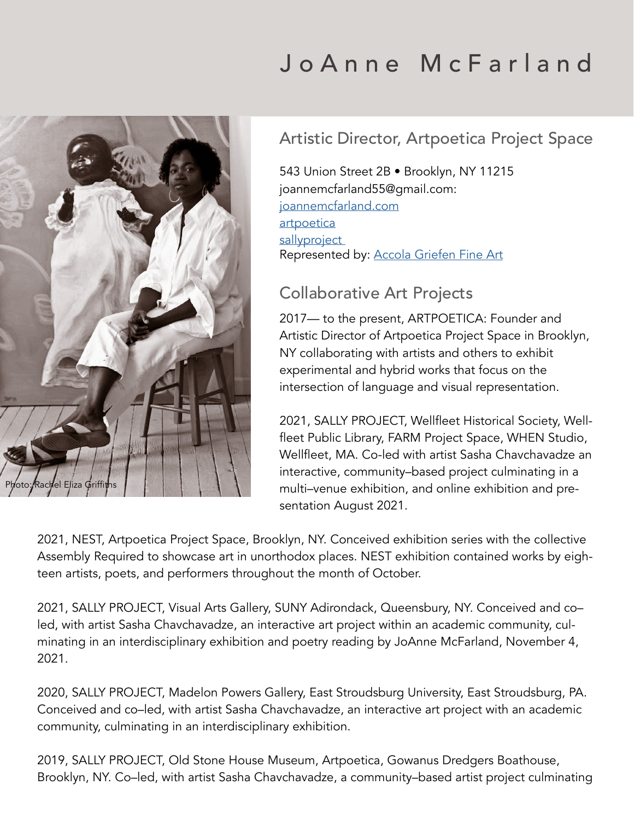# Rachel Eliza Griffit

# J o A n n e M c F a r l a n d

# Artistic Director, Artpoetica Project Space

543 Union Street 2B • Brooklyn, NY 11215 joannemcfarland55@gmail.com: [joannemcfarland.com](https://www.joannemcfarland.com/)  [artpoetica](https://www.artpoetica.org/) [sallyproject](https://www.sallyproject.net/)  Represented by: [Accola Griefen Fine Art](http://accolagriefen.com)

### Collaborative Art Projects

2017— to the present, ARTPOETICA: Founder and Artistic Director of Artpoetica Project Space in Brooklyn, NY collaborating with artists and others to exhibit experimental and hybrid works that focus on the intersection of language and visual representation.

2021, SALLY PROJECT, Wellfleet Historical Society, Wellfleet Public Library, FARM Project Space, WHEN Studio, Wellfleet, MA. Co-led with artist Sasha Chavchavadze an interactive, community–based project culminating in a multi–venue exhibition, and online exhibition and presentation August 2021.

2021, NEST, Artpoetica Project Space, Brooklyn, NY. Conceived exhibition series with the collective Assembly Required to showcase art in unorthodox places. NEST exhibition contained works by eighteen artists, poets, and performers throughout the month of October.

2021, SALLY PROJECT, Visual Arts Gallery, SUNY Adirondack, Queensbury, NY. Conceived and co– led, with artist Sasha Chavchavadze, an interactive art project within an academic community, culminating in an interdisciplinary exhibition and poetry reading by JoAnne McFarland, November 4, 2021.

2020, SALLY PROJECT, Madelon Powers Gallery, East Stroudsburg University, East Stroudsburg, PA. Conceived and co–led, with artist Sasha Chavchavadze, an interactive art project with an academic community, culminating in an interdisciplinary exhibition.

2019, SALLY PROJECT, Old Stone House Museum, Artpoetica, Gowanus Dredgers Boathouse, Brooklyn, NY. Co–led, with artist Sasha Chavchavadze, a community–based artist project culminating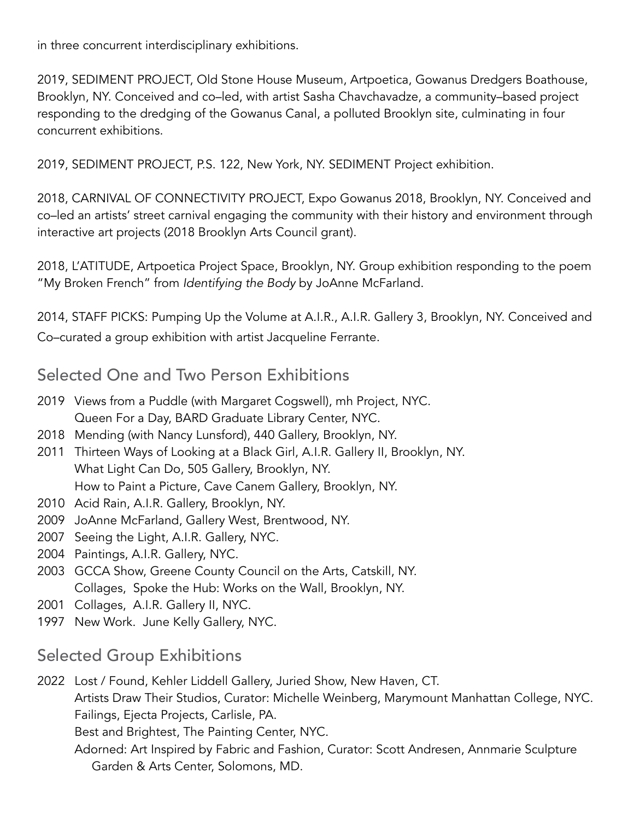in three concurrent interdisciplinary exhibitions.

2019, SEDIMENT PROJECT, Old Stone House Museum, Artpoetica, Gowanus Dredgers Boathouse, Brooklyn, NY. Conceived and co–led, with artist Sasha Chavchavadze, a community–based project responding to the dredging of the Gowanus Canal, a polluted Brooklyn site, culminating in four concurrent exhibitions.

2019, SEDIMENT PROJECT, P.S. 122, New York, NY. SEDIMENT Project exhibition.

2018, CARNIVAL OF CONNECTIVITY PROJECT, Expo Gowanus 2018, Brooklyn, NY. Conceived and co–led an artists' street carnival engaging the community with their history and environment through interactive art projects (2018 Brooklyn Arts Council grant).

2018, L'ATITUDE, Artpoetica Project Space, Brooklyn, NY. Group exhibition responding to the poem "My Broken French" from *Identifying the Body* by JoAnne McFarland.

2014, STAFF PICKS: Pumping Up the Volume at A.I.R., A.I.R. Gallery 3, Brooklyn, NY. Conceived and Co–curated a group exhibition with artist Jacqueline Ferrante.

### Selected One and Two Person Exhibitions

- 2019 Views from a Puddle (with Margaret Cogswell), mh Project, NYC. Queen For a Day, BARD Graduate Library Center, NYC.
- 2018 Mending (with Nancy Lunsford), 440 Gallery, Brooklyn, NY.
- 2011 Thirteen Ways of Looking at a Black Girl, A.I.R. Gallery II, Brooklyn, NY. What Light Can Do, 505 Gallery, Brooklyn, NY. How to Paint a Picture, Cave Canem Gallery, Brooklyn, NY.
- 2010 Acid Rain, A.I.R. Gallery, Brooklyn, NY.
- 2009 JoAnne McFarland, Gallery West, Brentwood, NY.
- 2007 Seeing the Light, A.I.R. Gallery, NYC.
- 2004 Paintings, A.I.R. Gallery, NYC.
- 2003 GCCA Show, Greene County Council on the Arts, Catskill, NY. Collages, Spoke the Hub: Works on the Wall, Brooklyn, NY.
- 2001 Collages, A.I.R. Gallery II, NYC.
- 1997 New Work. June Kelly Gallery, NYC.

### Selected Group Exhibitions

2022 Lost / Found, Kehler Liddell Gallery, Juried Show, New Haven, CT.

Artists Draw Their Studios, Curator: Michelle Weinberg, Marymount Manhattan College, NYC. Failings, Ejecta Projects, Carlisle, PA.

Best and Brightest, The Painting Center, NYC.

Adorned: Art Inspired by Fabric and Fashion, Curator: Scott Andresen, Annmarie Sculpture Garden & Arts Center, Solomons, MD.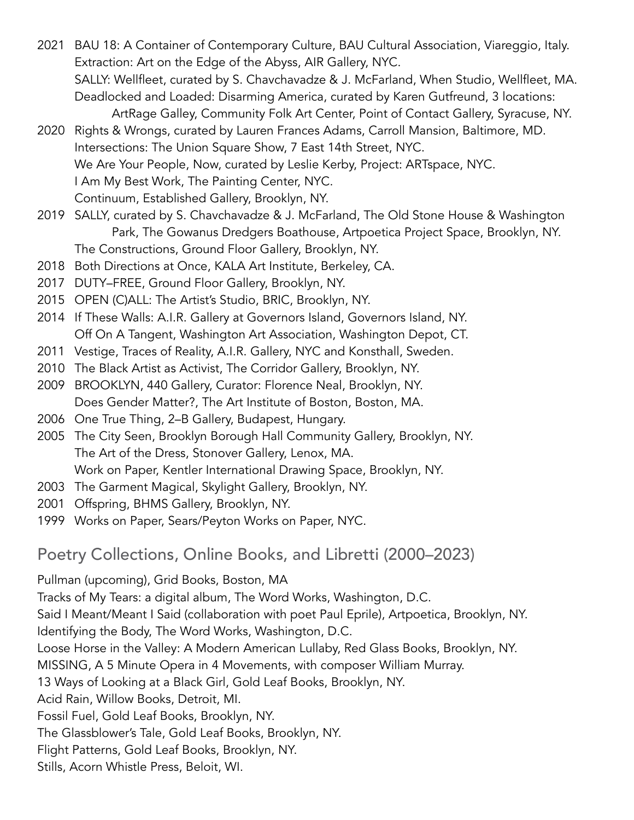2021 BAU 18: A Container of Contemporary Culture, BAU Cultural Association, Viareggio, Italy. Extraction: Art on the Edge of the Abyss, AIR Gallery, NYC. SALLY: Wellfleet, curated by S. Chavchavadze & J. McFarland, When Studio, Wellfleet, MA. Deadlocked and Loaded: Disarming America, curated by Karen Gutfreund, 3 locations: ArtRage Galley, Community Folk Art Center, Point of Contact Gallery, Syracuse, NY.

- 2020 Rights & Wrongs, curated by Lauren Frances Adams, Carroll Mansion, Baltimore, MD. Intersections: The Union Square Show, 7 East 14th Street, NYC. We Are Your People, Now, curated by Leslie Kerby, Project: ARTspace, NYC. I Am My Best Work, The Painting Center, NYC. Continuum, Established Gallery, Brooklyn, NY.
- 2019 SALLY, curated by S. Chavchavadze & J. McFarland, The Old Stone House & Washington Park, The Gowanus Dredgers Boathouse, Artpoetica Project Space, Brooklyn, NY. The Constructions, Ground Floor Gallery, Brooklyn, NY.
- 2018 Both Directions at Once, KALA Art Institute, Berkeley, CA.
- 2017 DUTY–FREE, Ground Floor Gallery, Brooklyn, NY.
- 2015 OPEN (C)ALL: The Artist's Studio, BRIC, Brooklyn, NY.
- 2014 If These Walls: A.I.R. Gallery at Governors Island, Governors Island, NY. Off On A Tangent, Washington Art Association, Washington Depot, CT.
- 2011 Vestige, Traces of Reality, A.I.R. Gallery, NYC and Konsthall, Sweden.
- 2010 The Black Artist as Activist, The Corridor Gallery, Brooklyn, NY.
- 2009 BROOKLYN, 440 Gallery, Curator: Florence Neal, Brooklyn, NY. Does Gender Matter?, The Art Institute of Boston, Boston, MA.
- 2006 One True Thing, 2–B Gallery, Budapest, Hungary.
- 2005 The City Seen, Brooklyn Borough Hall Community Gallery, Brooklyn, NY. The Art of the Dress, Stonover Gallery, Lenox, MA. Work on Paper, Kentler International Drawing Space, Brooklyn, NY.
- 2003 The Garment Magical, Skylight Gallery, Brooklyn, NY.
- 2001 Offspring, BHMS Gallery, Brooklyn, NY.
- 1999 Works on Paper, Sears/Peyton Works on Paper, NYC.

Poetry Collections, Online Books, and Libretti (2000–2023)

Pullman (upcoming), Grid Books, Boston, MA Tracks of My Tears: a digital album, The Word Works, Washington, D.C. Said I Meant/Meant I Said (collaboration with poet Paul Eprile), Artpoetica, Brooklyn, NY. Identifying the Body, The Word Works, Washington, D.C. Loose Horse in the Valley: A Modern American Lullaby, Red Glass Books, Brooklyn, NY. MISSING, A 5 Minute Opera in 4 Movements, with composer William Murray. 13 Ways of Looking at a Black Girl, Gold Leaf Books, Brooklyn, NY. Acid Rain, Willow Books, Detroit, MI. Fossil Fuel, Gold Leaf Books, Brooklyn, NY. The Glassblower's Tale, Gold Leaf Books, Brooklyn, NY. Flight Patterns, Gold Leaf Books, Brooklyn, NY. Stills, Acorn Whistle Press, Beloit, WI.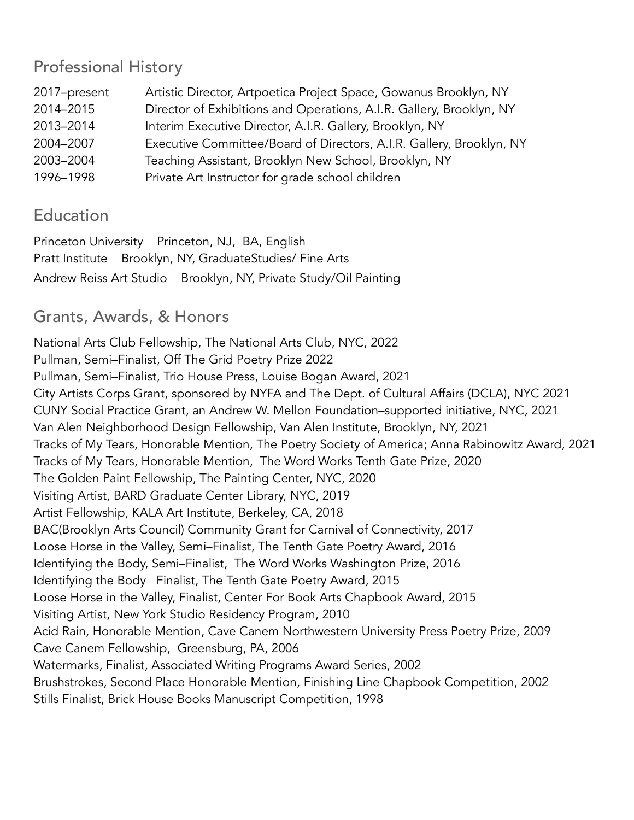### Professional History

| 2017-present | Artistic Director, Artpoetica Project Space, Gowanus Brooklyn, NY    |
|--------------|----------------------------------------------------------------------|
| 2014-2015    | Director of Exhibitions and Operations, A.I.R. Gallery, Brooklyn, NY |
| 2013-2014    | Interim Executive Director, A.I.R. Gallery, Brooklyn, NY             |
| 2004-2007    | Executive Committee/Board of Directors, A.I.R. Gallery, Brooklyn, NY |
| 2003-2004    | Teaching Assistant, Brooklyn New School, Brooklyn, NY                |
| 1996-1998    | Private Art Instructor for grade school children                     |

### **Education**

Princeton University Princeton, NJ, BA, English Pratt Institute Brooklyn, NY, GraduateStudies/ Fine Arts Andrew Reiss Art Studio Brooklyn, NY, Private Study/Oil Painting

# Grants, Awards, & Honors

National Arts Club Fellowship, The National Arts Club, NYC, 2022 Pullman, Semi–Finalist, Off The Grid Poetry Prize 2022 Pullman, Semi–Finalist, Trio House Press, Louise Bogan Award, 2021 City Artists Corps Grant, sponsored by NYFA and The Dept. of Cultural Affairs (DCLA), NYC 2021 CUNY Social Practice Grant, an Andrew W. Mellon Foundation–supported initiative, NYC, 2021 Van Alen Neighborhood Design Fellowship, Van Alen Institute, Brooklyn, NY, 2021 Tracks of My Tears, Honorable Mention, The Poetry Society of America; Anna Rabinowitz Award, 2021 Tracks of My Tears, Honorable Mention, The Word Works Tenth Gate Prize, 2020 The Golden Paint Fellowship, The Painting Center, NYC, 2020 Visiting Artist, BARD Graduate Center Library, NYC, 2019 Artist Fellowship, KALA Art Institute, Berkeley, CA, 2018 BAC(Brooklyn Arts Council) Community Grant for Carnival of Connectivity, 2017 Loose Horse in the Valley, Semi–Finalist, The Tenth Gate Poetry Award, 2016 Identifying the Body, Semi–Finalist, The Word Works Washington Prize, 2016 Identifying the Body Finalist, The Tenth Gate Poetry Award, 2015 Loose Horse in the Valley, Finalist, Center For Book Arts Chapbook Award, 2015 Visiting Artist, New York Studio Residency Program, 2010 Acid Rain, Honorable Mention, Cave Canem Northwestern University Press Poetry Prize, 2009 Cave Canem Fellowship, Greensburg, PA, 2006 Watermarks, Finalist, Associated Writing Programs Award Series, 2002 Brushstrokes, Second Place Honorable Mention, Finishing Line Chapbook Competition, 2002 Stills Finalist, Brick House Books Manuscript Competition, 1998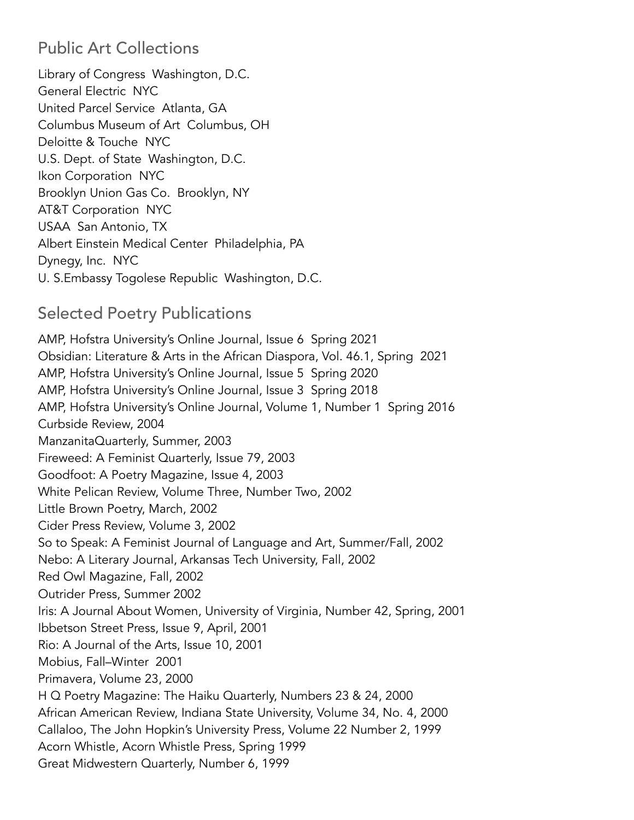### Public Art Collections

Library of Congress Washington, D.C. General Electric NYC United Parcel Service Atlanta, GA Columbus Museum of Art Columbus, OH Deloitte & Touche NYC U.S. Dept. of State Washington, D.C. Ikon Corporation NYC Brooklyn Union Gas Co. Brooklyn, NY AT&T Corporation NYC USAA San Antonio, TX Albert Einstein Medical Center Philadelphia, PA Dynegy, Inc. NYC U. S.Embassy Togolese Republic Washington, D.C.

### Selected Poetry Publications

AMP, Hofstra University's Online Journal, Issue 6 Spring 2021 Obsidian: Literature & Arts in the African Diaspora, Vol. 46.1, Spring 2021 AMP, Hofstra University's Online Journal, Issue 5 Spring 2020 AMP, Hofstra University's Online Journal, Issue 3 Spring 2018 AMP, Hofstra University's Online Journal, Volume 1, Number 1 Spring 2016 Curbside Review, 2004 ManzanitaQuarterly, Summer, 2003 Fireweed: A Feminist Quarterly, Issue 79, 2003 Goodfoot: A Poetry Magazine, Issue 4, 2003 White Pelican Review, Volume Three, Number Two, 2002 Little Brown Poetry, March, 2002 Cider Press Review, Volume 3, 2002 So to Speak: A Feminist Journal of Language and Art, Summer/Fall, 2002 Nebo: A Literary Journal, Arkansas Tech University, Fall, 2002 Red Owl Magazine, Fall, 2002 Outrider Press, Summer 2002 Iris: A Journal About Women, University of Virginia, Number 42, Spring, 2001 Ibbetson Street Press, Issue 9, April, 2001 Rio: A Journal of the Arts, Issue 10, 2001 Mobius, Fall–Winter 2001 Primavera, Volume 23, 2000 H Q Poetry Magazine: The Haiku Quarterly, Numbers 23 & 24, 2000 African American Review, Indiana State University, Volume 34, No. 4, 2000 Callaloo, The John Hopkin's University Press, Volume 22 Number 2, 1999 Acorn Whistle, Acorn Whistle Press, Spring 1999 Great Midwestern Quarterly, Number 6, 1999